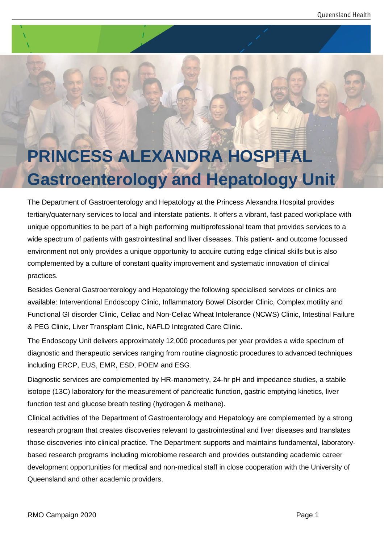# **PRINCESS ALEXANDRA HOSPITAL Gastroenterology and Hepatology Unit**

The Department of Gastroenterology and Hepatology at the Princess Alexandra Hospital provides tertiary/quaternary services to local and interstate patients. It offers a vibrant, fast paced workplace with unique opportunities to be part of a high performing multiprofessional team that provides services to a wide spectrum of patients with gastrointestinal and liver diseases. This patient- and outcome focussed environment not only provides a unique opportunity to acquire cutting edge clinical skills but is also complemented by a culture of constant quality improvement and systematic innovation of clinical practices.

Besides General Gastroenterology and Hepatology the following specialised services or clinics are available: Interventional Endoscopy Clinic, Inflammatory Bowel Disorder Clinic, Complex motility and Functional GI disorder Clinic, Celiac and Non-Celiac Wheat Intolerance (NCWS) Clinic, Intestinal Failure & PEG Clinic, Liver Transplant Clinic, NAFLD Integrated Care Clinic.

The Endoscopy Unit delivers approximately 12,000 procedures per year provides a wide spectrum of diagnostic and therapeutic services ranging from routine diagnostic procedures to advanced techniques including ERCP, EUS, EMR, ESD, POEM and ESG.

Diagnostic services are complemented by HR-manometry, 24-hr pH and impedance studies, a stabile isotope (13C) laboratory for the measurement of pancreatic function, gastric emptying kinetics, liver function test and glucose breath testing (hydrogen & methane).

Clinical activities of the Department of Gastroenterology and Hepatology are complemented by a strong research program that creates discoveries relevant to gastrointestinal and liver diseases and translates those discoveries into clinical practice. The Department supports and maintains fundamental, laboratorybased research programs including microbiome research and provides outstanding academic career development opportunities for medical and non-medical staff in close cooperation with the University of Queensland and other academic providers.